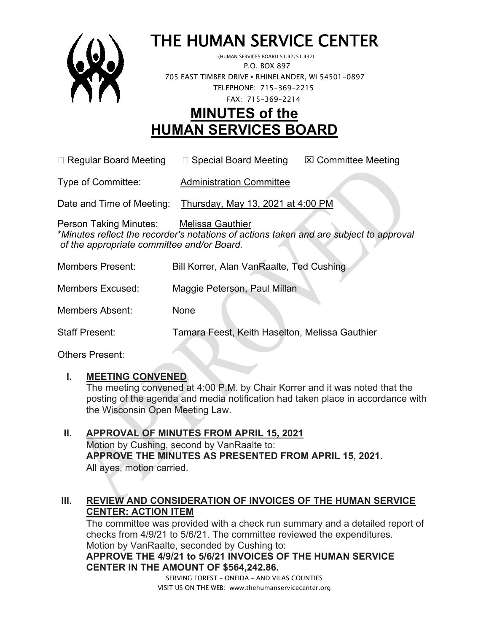

# THE HUMAN SERVICE CENTER (HUMAN SERVICES BOARD 51.42/51.437)

 P.O. BOX 897 705 EAST TIMBER DRIVE **•** RHINELANDER, WI 54501-0897 TELEPHONE: 715-369-2215 FAX: 715-369-2214

## **MINUTES of the HUMAN SERVICES BOARD**

 $\Box$  Regular Board Meeting  $\Box$  Special Board Meeting  $\Box$  Committee Meeting

Type of Committee: Administration Committee

Date and Time of Meeting: Thursday, May 13, 2021 at 4:00 PM

Person Taking Minutes: Melissa Gauthier \**Minutes reflect the recorder's notations of actions taken and are subject to approval of the appropriate committee and/or Board.*

| <b>Members Present:</b> | Bill Korrer, Alan VanRaalte, Ted Cushing       |
|-------------------------|------------------------------------------------|
| <b>Members Excused:</b> | Maggie Peterson, Paul Millan                   |
| Members Absent:         | None                                           |
| <b>Staff Present:</b>   | Tamara Feest, Keith Haselton, Melissa Gauthier |

Others Present:

#### **I. MEETING CONVENED**

The meeting convened at 4:00 P.M. by Chair Korrer and it was noted that the posting of the agenda and media notification had taken place in accordance with the Wisconsin Open Meeting Law.

**II. APPROVAL OF MINUTES FROM APRIL 15, 2021** Motion by Cushing, second by VanRaalte to: **APPROVE THE MINUTES AS PRESENTED FROM APRIL 15, 2021.**  All ayes, motion carried.

#### **III. REVIEW AND CONSIDERATION OF INVOICES OF THE HUMAN SERVICE CENTER: ACTION ITEM**

SERVING FOREST – ONEIDA – AND VILAS COUNTIES The committee was provided with a check run summary and a detailed report of checks from 4/9/21 to 5/6/21. The committee reviewed the expenditures. Motion by VanRaalte, seconded by Cushing to: **APPROVE THE 4/9/21 to 5/6/21 INVOICES OF THE HUMAN SERVICE CENTER IN THE AMOUNT OF \$564,242.86.**

VISIT US ON THE WEB: www.thehumanservicecenter.org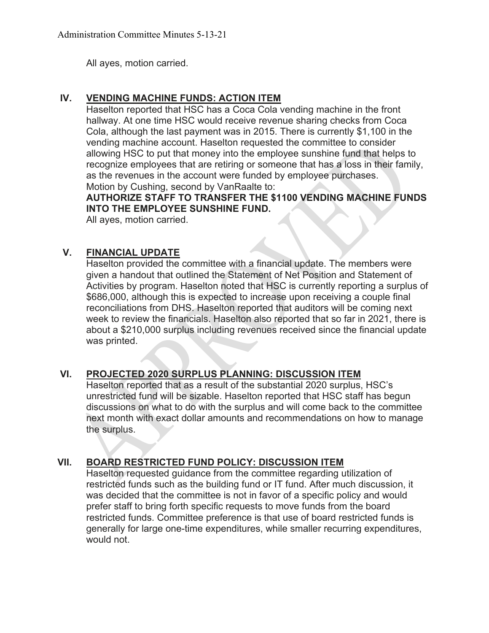All ayes, motion carried.

#### **IV. VENDING MACHINE FUNDS: ACTION ITEM**

Haselton reported that HSC has a Coca Cola vending machine in the front hallway. At one time HSC would receive revenue sharing checks from Coca Cola, although the last payment was in 2015. There is currently \$1,100 in the vending machine account. Haselton requested the committee to consider allowing HSC to put that money into the employee sunshine fund that helps to recognize employees that are retiring or someone that has a loss in their family, as the revenues in the account were funded by employee purchases. Motion by Cushing, second by VanRaalte to:

**AUTHORIZE STAFF TO TRANSFER THE \$1100 VENDING MACHINE FUNDS INTO THE EMPLOYEE SUNSHINE FUND.**

All ayes, motion carried.

#### **V. FINANCIAL UPDATE**

Haselton provided the committee with a financial update. The members were given a handout that outlined the Statement of Net Position and Statement of Activities by program. Haselton noted that HSC is currently reporting a surplus of \$686,000, although this is expected to increase upon receiving a couple final reconciliations from DHS. Haselton reported that auditors will be coming next week to review the financials. Haselton also reported that so far in 2021, there is about a \$210,000 surplus including revenues received since the financial update was printed.

#### **VI. PROJECTED 2020 SURPLUS PLANNING: DISCUSSION ITEM**

Haselton reported that as a result of the substantial 2020 surplus, HSC's unrestricted fund will be sizable. Haselton reported that HSC staff has begun discussions on what to do with the surplus and will come back to the committee next month with exact dollar amounts and recommendations on how to manage the surplus.

#### **VII. BOARD RESTRICTED FUND POLICY: DISCUSSION ITEM**

Haselton requested guidance from the committee regarding utilization of restricted funds such as the building fund or IT fund. After much discussion, it was decided that the committee is not in favor of a specific policy and would prefer staff to bring forth specific requests to move funds from the board restricted funds. Committee preference is that use of board restricted funds is generally for large one-time expenditures, while smaller recurring expenditures, would not.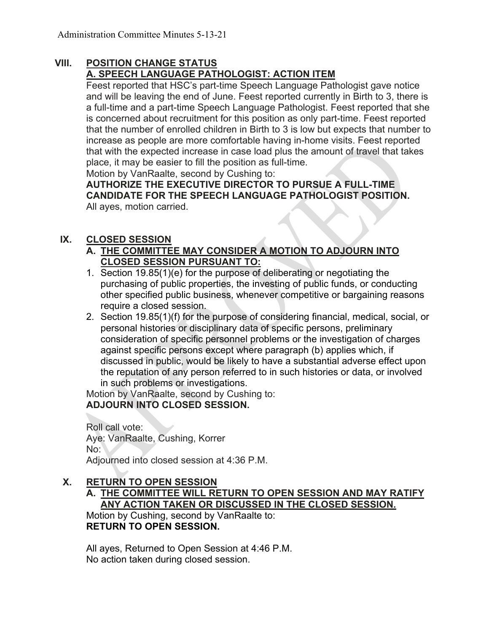#### **VIII. POSITION CHANGE STATUS A. SPEECH LANGUAGE PATHOLOGIST: ACTION ITEM**

Feest reported that HSC's part-time Speech Language Pathologist gave notice and will be leaving the end of June. Feest reported currently in Birth to 3, there is a full-time and a part-time Speech Language Pathologist. Feest reported that she is concerned about recruitment for this position as only part-time. Feest reported that the number of enrolled children in Birth to 3 is low but expects that number to increase as people are more comfortable having in-home visits. Feest reported that with the expected increase in case load plus the amount of travel that takes place, it may be easier to fill the position as full-time.

Motion by VanRaalte, second by Cushing to:

**AUTHORIZE THE EXECUTIVE DIRECTOR TO PURSUE A FULL-TIME CANDIDATE FOR THE SPEECH LANGUAGE PATHOLOGIST POSITION.** All ayes, motion carried.

#### **IX. CLOSED SESSION**

#### **A. THE COMMITTEE MAY CONSIDER A MOTION TO ADJOURN INTO CLOSED SESSION PURSUANT TO:**

- 1. Section 19.85(1)(e) for the purpose of deliberating or negotiating the purchasing of public properties, the investing of public funds, or conducting other specified public business, whenever competitive or bargaining reasons require a closed session.
- 2. Section 19.85(1)(f) for the purpose of considering financial, medical, social, or personal histories or disciplinary data of specific persons, preliminary consideration of specific personnel problems or the investigation of charges against specific persons except where paragraph (b) applies which, if discussed in public, would be likely to have a substantial adverse effect upon the reputation of any person referred to in such histories or data, or involved in such problems or investigations.

Motion by VanRaalte, second by Cushing to: **ADJOURN INTO CLOSED SESSION.**

Roll call vote: Aye: VanRaalte, Cushing, Korrer No: Adjourned into closed session at 4:36 P.M.

#### **X. RETURN TO OPEN SESSION**

**A. THE COMMITTEE WILL RETURN TO OPEN SESSION AND MAY RATIFY ANY ACTION TAKEN OR DISCUSSED IN THE CLOSED SESSION.**

Motion by Cushing, second by VanRaalte to: **RETURN TO OPEN SESSION.**

All ayes, Returned to Open Session at 4:46 P.M. No action taken during closed session.